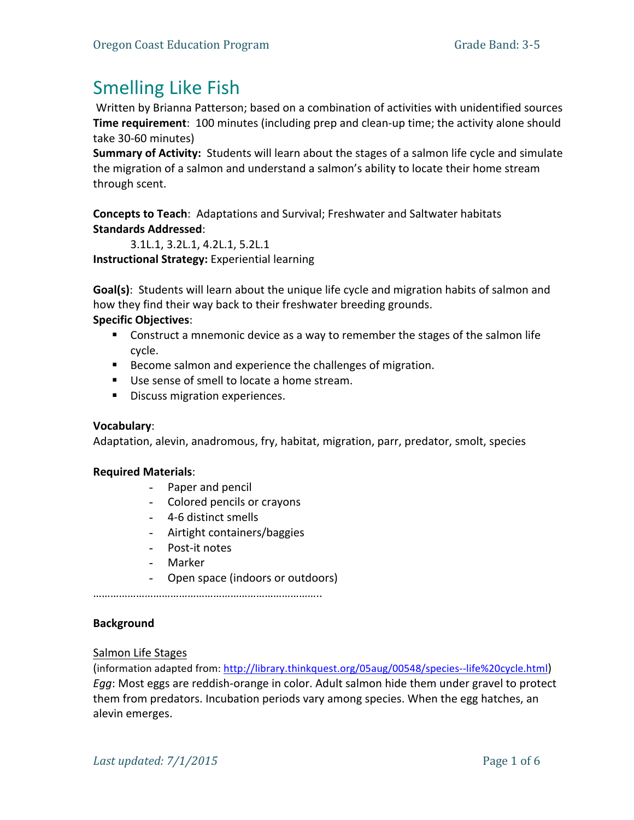# Smelling Like Fish

Written by Brianna Patterson; based on a combination of activities with unidentified sources **Time requirement**: 100 minutes (including prep and clean-up time; the activity alone should take 30-60 minutes)

**Summary of Activity:** Students will learn about the stages of a salmon life cycle and simulate the migration of a salmon and understand a salmon's ability to locate their home stream through scent.

**Concepts to Teach**: Adaptations and Survival; Freshwater and Saltwater habitats **Standards Addressed**:

3.1L.1, 3.2L.1, 4.2L.1, 5.2L.1 **Instructional Strategy:** Experiential learning

Goal(s): Students will learn about the unique life cycle and migration habits of salmon and how they find their way back to their freshwater breeding grounds.

# **Specific Objectives**:

- Construct a mnemonic device as a way to remember the stages of the salmon life cycle.
- Become salmon and experience the challenges of migration.
- Use sense of smell to locate a home stream.
- Discuss migration experiences.

# **Vocabulary**:

Adaptation, alevin, anadromous, fry, habitat, migration, parr, predator, smolt, species

# **Required Materials**:

- Paper and pencil
- Colored pencils or crayons
- 4-6 distinct smells
- Airtight containers/baggies
- Post-it notes
- Marker
- Open space (indoors or outdoors)

……………………………………………………………………..

# **Background**

## Salmon Life Stages

(information adapted from: http://library.thinkquest.org/05aug/00548/species--life%20cycle.html) Egg: Most eggs are reddish-orange in color. Adult salmon hide them under gravel to protect them from predators. Incubation periods vary among species. When the egg hatches, an alevin emerges.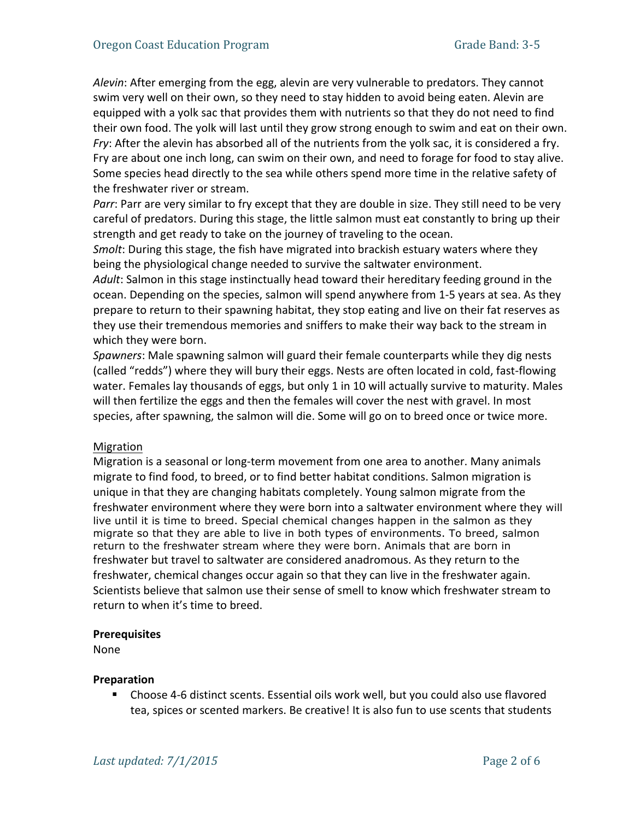*Alevin*: After emerging from the egg, alevin are very vulnerable to predators. They cannot swim very well on their own, so they need to stay hidden to avoid being eaten. Alevin are equipped with a yolk sac that provides them with nutrients so that they do not need to find their own food. The yolk will last until they grow strong enough to swim and eat on their own. *Fry*: After the alevin has absorbed all of the nutrients from the yolk sac, it is considered a fry. Fry are about one inch long, can swim on their own, and need to forage for food to stay alive. Some species head directly to the sea while others spend more time in the relative safety of the freshwater river or stream.

Parr: Parr are very similar to fry except that they are double in size. They still need to be very careful of predators. During this stage, the little salmon must eat constantly to bring up their strength and get ready to take on the journey of traveling to the ocean.

*Smolt*: During this stage, the fish have migrated into brackish estuary waters where they being the physiological change needed to survive the saltwater environment.

Adult: Salmon in this stage instinctually head toward their hereditary feeding ground in the ocean. Depending on the species, salmon will spend anywhere from 1-5 years at sea. As they prepare to return to their spawning habitat, they stop eating and live on their fat reserves as they use their tremendous memories and sniffers to make their way back to the stream in which they were born.

Spawners: Male spawning salmon will guard their female counterparts while they dig nests (called "redds") where they will bury their eggs. Nests are often located in cold, fast-flowing water. Females lay thousands of eggs, but only 1 in 10 will actually survive to maturity. Males will then fertilize the eggs and then the females will cover the nest with gravel. In most species, after spawning, the salmon will die. Some will go on to breed once or twice more.

# Migration

Migration is a seasonal or long-term movement from one area to another. Many animals migrate to find food, to breed, or to find better habitat conditions. Salmon migration is unique in that they are changing habitats completely. Young salmon migrate from the freshwater environment where they were born into a saltwater environment where they will live until it is time to breed. Special chemical changes happen in the salmon as they migrate so that they are able to live in both types of environments. To breed, salmon return to the freshwater stream where they were born. Animals that are born in freshwater but travel to saltwater are considered anadromous. As they return to the freshwater, chemical changes occur again so that they can live in the freshwater again. Scientists believe that salmon use their sense of smell to know which freshwater stream to return to when it's time to breed.

# **Prerequisites**

None

# **Preparation**

■ Choose 4-6 distinct scents. Essential oils work well, but you could also use flavored tea, spices or scented markers. Be creative! It is also fun to use scents that students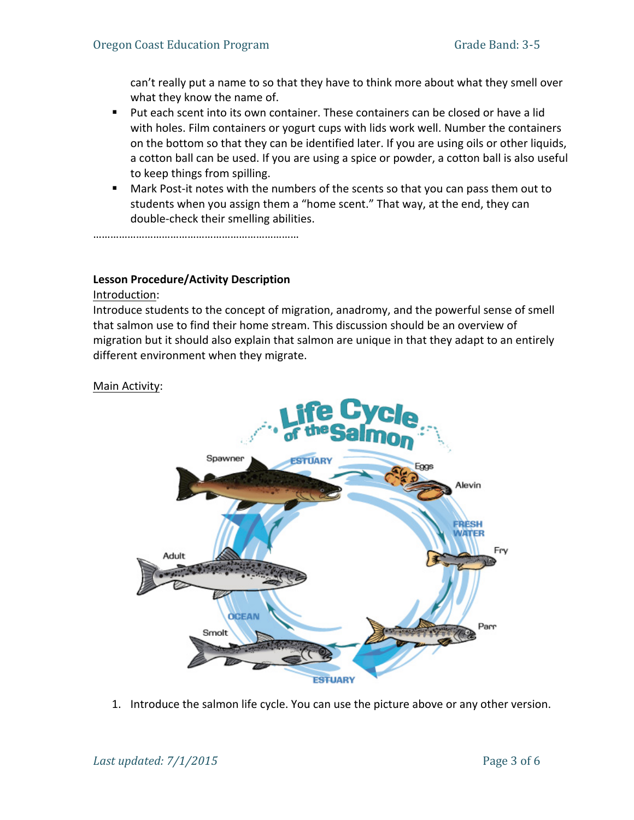can't really put a name to so that they have to think more about what they smell over what they know the name of.

- $\blacksquare$  Put each scent into its own container. These containers can be closed or have a lid with holes. Film containers or yogurt cups with lids work well. Number the containers on the bottom so that they can be identified later. If you are using oils or other liquids, a cotton ball can be used. If you are using a spice or powder, a cotton ball is also useful to keep things from spilling.
- Mark Post-it notes with the numbers of the scents so that you can pass them out to students when you assign them a "home scent." That way, at the end, they can double-check their smelling abilities.

………………………………………………………………

## **Lesson Procedure/Activity Description**

#### Introduction:

Introduce students to the concept of migration, anadromy, and the powerful sense of smell that salmon use to find their home stream. This discussion should be an overview of migration but it should also explain that salmon are unique in that they adapt to an entirely different environment when they migrate.

Main Activity:



1. Introduce the salmon life cycle. You can use the picture above or any other version.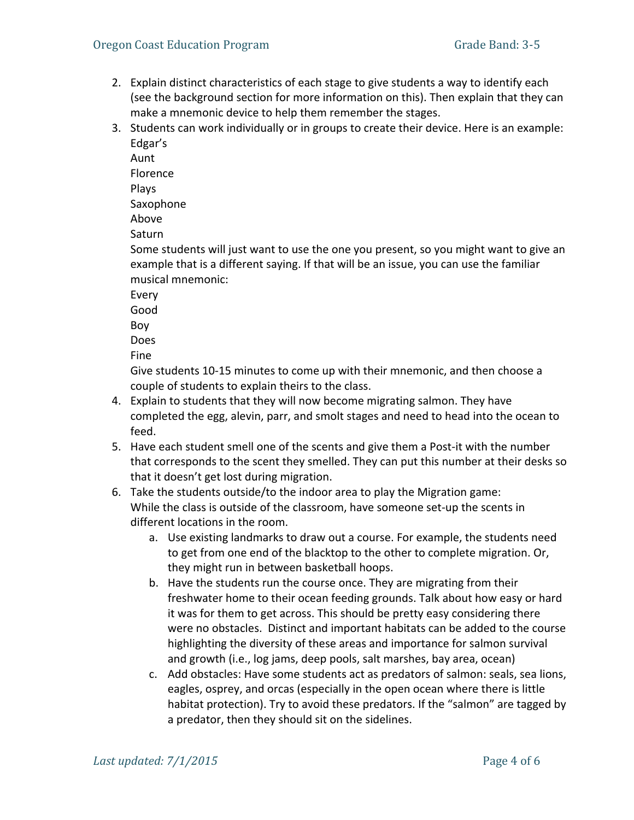## Oregon Coast Education Program Grade Band: 3-5

- 2. Explain distinct characteristics of each stage to give students a way to identify each (see the background section for more information on this). Then explain that they can make a mnemonic device to help them remember the stages.
- 3. Students can work individually or in groups to create their device. Here is an example: Edgar's

Aunt

Florence

Plays

Saxophone 

Above 

Saturn

Some students will just want to use the one you present, so you might want to give an example that is a different saying. If that will be an issue, you can use the familiar musical mnemonic:

Every

Good

Boy 

Does 

Fine

Give students 10-15 minutes to come up with their mnemonic, and then choose a couple of students to explain theirs to the class.

- 4. Explain to students that they will now become migrating salmon. They have completed the egg, alevin, parr, and smolt stages and need to head into the ocean to feed.
- 5. Have each student smell one of the scents and give them a Post-it with the number that corresponds to the scent they smelled. They can put this number at their desks so that it doesn't get lost during migration.
- 6. Take the students outside/to the indoor area to play the Migration game: While the class is outside of the classroom, have someone set-up the scents in different locations in the room.
	- a. Use existing landmarks to draw out a course. For example, the students need to get from one end of the blacktop to the other to complete migration. Or, they might run in between basketball hoops.
	- b. Have the students run the course once. They are migrating from their freshwater home to their ocean feeding grounds. Talk about how easy or hard it was for them to get across. This should be pretty easy considering there were no obstacles. Distinct and important habitats can be added to the course highlighting the diversity of these areas and importance for salmon survival and growth (i.e., log jams, deep pools, salt marshes, bay area, ocean)
	- c. Add obstacles: Have some students act as predators of salmon: seals, sea lions, eagles, osprey, and orcas (especially in the open ocean where there is little habitat protection). Try to avoid these predators. If the "salmon" are tagged by a predator, then they should sit on the sidelines.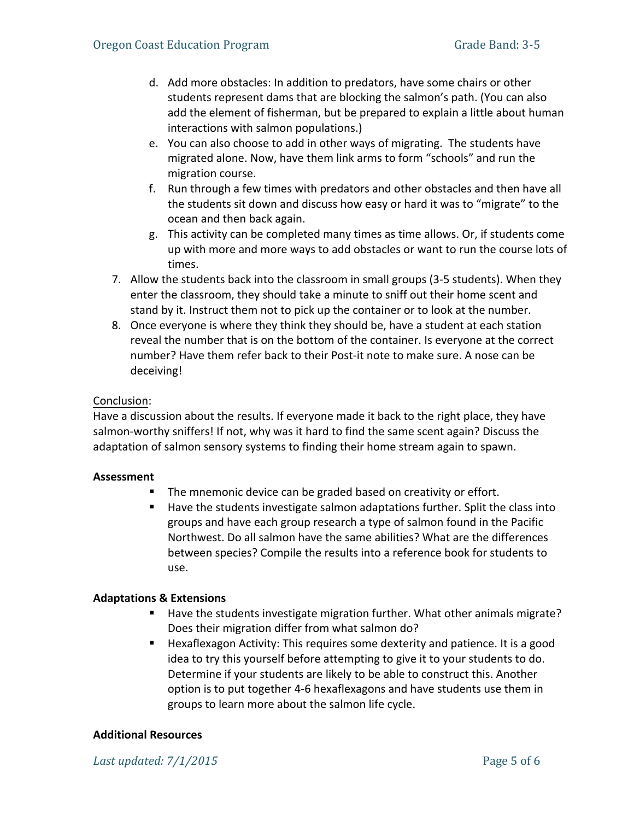- d. Add more obstacles: In addition to predators, have some chairs or other students represent dams that are blocking the salmon's path. (You can also add the element of fisherman, but be prepared to explain a little about human interactions with salmon populations.)
- e. You can also choose to add in other ways of migrating. The students have migrated alone. Now, have them link arms to form "schools" and run the migration course.
- f. Run through a few times with predators and other obstacles and then have all the students sit down and discuss how easy or hard it was to "migrate" to the ocean and then back again.
- g. This activity can be completed many times as time allows. Or, if students come up with more and more ways to add obstacles or want to run the course lots of times.
- 7. Allow the students back into the classroom in small groups (3-5 students). When they enter the classroom, they should take a minute to sniff out their home scent and stand by it. Instruct them not to pick up the container or to look at the number.
- 8. Once everyone is where they think they should be, have a student at each station reveal the number that is on the bottom of the container. Is everyone at the correct number? Have them refer back to their Post-it note to make sure. A nose can be deceiving!

## Conclusion:

Have a discussion about the results. If everyone made it back to the right place, they have salmon-worthy sniffers! If not, why was it hard to find the same scent again? Discuss the adaptation of salmon sensory systems to finding their home stream again to spawn.

#### **Assessment**

- The mnemonic device can be graded based on creativity or effort.
- Have the students investigate salmon adaptations further. Split the class into groups and have each group research a type of salmon found in the Pacific Northwest. Do all salmon have the same abilities? What are the differences between species? Compile the results into a reference book for students to use.

#### **Adaptations & Extensions**

- Have the students investigate migration further. What other animals migrate? Does their migration differ from what salmon do?
- Hexaflexagon Activity: This requires some dexterity and patience. It is a good idea to try this yourself before attempting to give it to your students to do. Determine if your students are likely to be able to construct this. Another option is to put together 4-6 hexaflexagons and have students use them in groups to learn more about the salmon life cycle.

#### **Additional Resources**